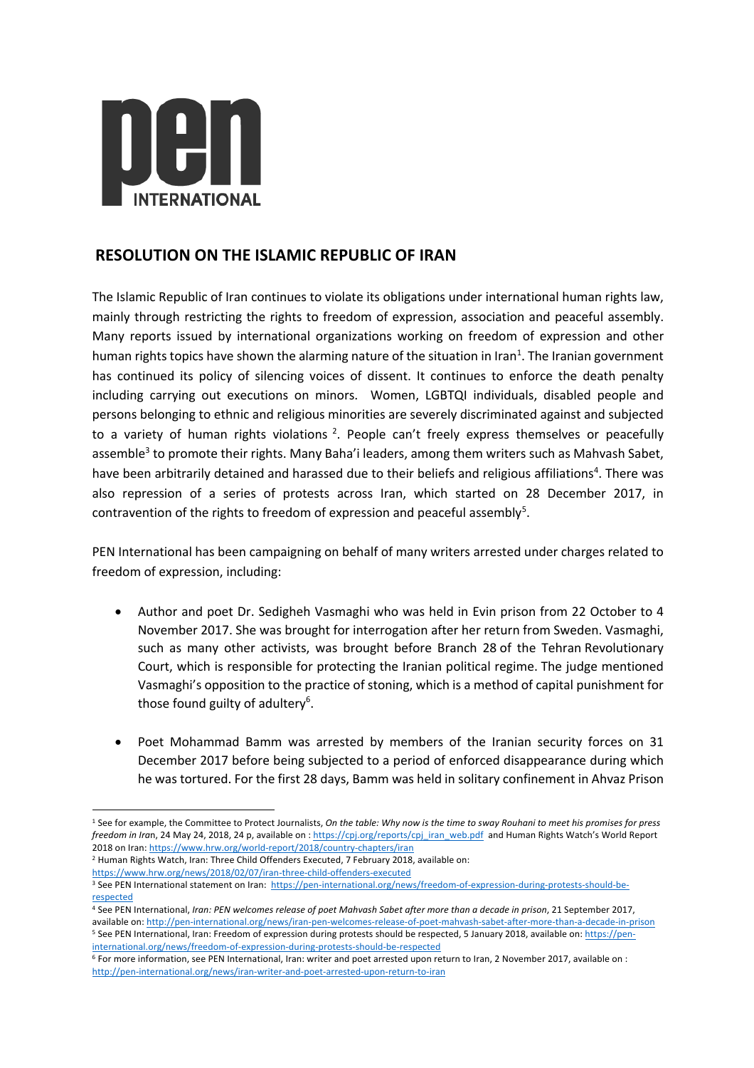

## **RESOLUTION ON THE ISLAMIC REPUBLIC OF IRAN**

The Islamic Republic of Iran continues to violate its obligations under international human rights law, mainly through restricting the rights to freedom of expression, association and peaceful assembly. Many reports issued by international organizations working on freedom of expression and other human rights topics have shown the alarming nature of the situation in Iran<sup>1</sup>. The Iranian government has continued its policy of silencing voices of dissent. It continues to enforce the death penalty including carrying out executions on minors. Women, LGBTQI individuals, disabled people and persons belonging to ethnic and religious minorities are severely discriminated against and subjected to a variety of human rights violations<sup>2</sup>. People can't freely express themselves or peacefully assemble<sup>3</sup> to promote their rights. Many Baha'i leaders, among them writers such as Mahvash Sabet, have been arbitrarily detained and harassed due to their beliefs and religious affiliations<sup>4</sup>. There was also repression of a series of protests across Iran, which started on 28 December 2017, in contravention of the rights to freedom of expression and peaceful assembly<sup>5</sup>.

PEN International has been campaigning on behalf of many writers arrested under charges related to freedom of expression, including:

- Author and poet Dr. Sedigheh Vasmaghi who was held in Evin prison from 22 October to 4 November 2017. She was brought for interrogation after her return from Sweden. Vasmaghi, such as many other activists, was brought before Branch 28 of the Tehran Revolutionary Court, which is responsible for protecting the Iranian political regime. The judge mentioned Vasmaghi's opposition to the practice of stoning, which is a method of capital punishment for those found guilty of adultery<sup>6</sup>.
- Poet Mohammad Bamm was arrested by members of the Iranian security forces on 31 December 2017 before being subjected to a period of enforced disappearance during which he was tortured. For the first 28 days, Bamm was held in solitary confinement in Ahvaz Prison

<sup>2</sup> Human Rights Watch, Iran: Three Child Offenders Executed, 7 February 2018, available on:

 <sup>1</sup> See for example, the Committee to Protect Journalists, *On the table: Why now is the time to sway Rouhani to meet his promises for press freedom in Ira*n, 24 May 24, 2018, 24 p, available on : https://cpj.org/reports/cpj\_iran\_web.pdf and Human Rights Watch's World Report 2018 on Iran: https://www.hrw.org/world-report/2018/country-chapters/iran

https://www.hrw.org/news/2018/02/07/iran-three-child-offenders-executed

<sup>&</sup>lt;sup>3</sup> See PEN International statement on Iran: https://pen-international.org/news/freedom-of-expression-during-protests-should-berespected

<sup>4</sup> See PEN International, *Iran: PEN welcomes release of poet Mahvash Sabet after more than a decade in prison*, 21 September 2017, available on: http://pen-international.org/news/iran-pen-welcomes-release-of-poet-mahvash-sabet-after-more-than-a-decade-in-prison <sup>5</sup> See PEN International, Iran: Freedom of expression during protests should be respected, 5 January 2018, available on: https://peninternational.org/news/freedom-of-expression-during-protests-should-be-respected

<sup>6</sup> For more information, see PEN International, Iran: writer and poet arrested upon return to Iran, 2 November 2017, available on : http://pen-international.org/news/iran-writer-and-poet-arrested-upon-return-to-iran